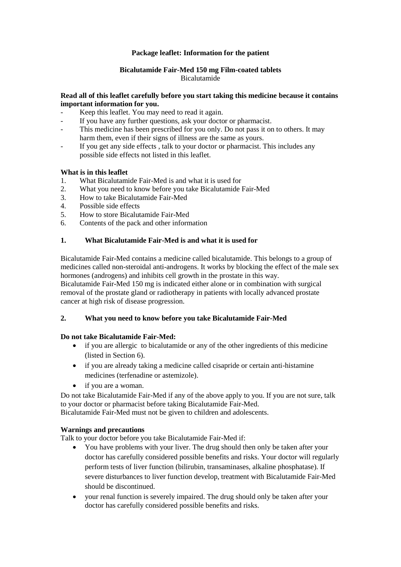#### **Package leaflet: Information for the patient**

#### **Bicalutamide Fair-Med 150 mg Film-coated tablets** Bicalutamide

#### **Read all of this leaflet carefully before you start taking this medicine because it contains important information for you.**

- Keep this leaflet. You may need to read it again.
- If you have any further questions, ask your doctor or pharmacist.
- This medicine has been prescribed for you only. Do not pass it on to others. It may harm them, even if their signs of illness are the same as yours.
- If you get any side effects, talk to your doctor or pharmacist. This includes any possible side effects not listed in this leaflet.

#### **What is in this leaflet**

- 1. What Bicalutamide Fair-Med is and what it is used for
- 2. What you need to know before you take Bicalutamide Fair-Med
- 3. How to take Bicalutamide Fair-Med
- 4. Possible side effects
- 5. How to store Bicalutamide Fair-Med
- 6. Contents of the pack and other information

#### **1. What Bicalutamide Fair-Med is and what it is used for**

Bicalutamide Fair-Med contains a medicine called bicalutamide. This belongs to a group of medicines called non-steroidal anti-androgens. It works by blocking the effect of the male sex hormones (androgens) and inhibits cell growth in the prostate in this way. Bicalutamide Fair-Med 150 mg is indicated either alone or in combination with surgical removal of the prostate gland or radiotherapy in patients with locally advanced prostate cancer at high risk of disease progression.

#### **2. What you need to know before you take Bicalutamide Fair-Med**

#### **Do not take Bicalutamide Fair-Med:**

- if you are allergic to bicalutamide or any of the other ingredients of this medicine (listed in Section 6).
- if you are already taking a medicine called cisapride or certain anti-histamine medicines (terfenadine or astemizole).
- if you are a woman.

Do not take Bicalutamide Fair-Med if any of the above apply to you. If you are not sure, talk to your doctor or pharmacist before taking Bicalutamide Fair-Med. Bicalutamide Fair-Med must not be given to children and adolescents.

#### **Warnings and precautions**

Talk to your doctor before you take Bicalutamide Fair-Med if:

- You have problems with your liver. The drug should then only be taken after your doctor has carefully considered possible benefits and risks. Your doctor will regularly perform tests of liver function (bilirubin, transaminases, alkaline phosphatase). If severe disturbances to liver function develop, treatment with Bicalutamide Fair-Med should be discontinued.
- your renal function is severely impaired. The drug should only be taken after your doctor has carefully considered possible benefits and risks.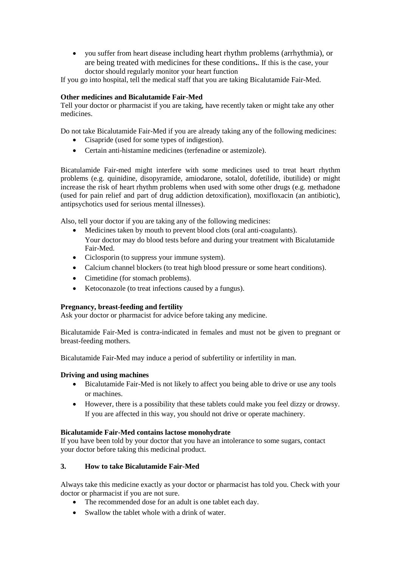you suffer from heart disease including heart rhythm problems (arrhythmia), or are being treated with medicines for these conditions**.**. If this is the case, your doctor should regularly monitor your heart function

If you go into hospital, tell the medical staff that you are taking Bicalutamide Fair-Med.

# **Other medicines and Bicalutamide Fair-Med**

Tell your doctor or pharmacist if you are taking, have recently taken or might take any other medicines.

Do not take Bicalutamide Fair-Med if you are already taking any of the following medicines:

- Cisapride (used for some types of indigestion).
- Certain anti-histamine medicines (terfenadine or astemizole).

Bicatulamide Fair-med might interfere with some medicines used to treat heart rhythm problems (e.g. quinidine, disopyramide, amiodarone, sotalol, dofetilide, ibutilide) or might increase the risk of heart rhythm problems when used with some other drugs (e.g. methadone (used for pain relief and part of drug addiction detoxification), moxifloxacin (an antibiotic), antipsychotics used for serious mental illnesses).

Also, tell your doctor if you are taking any of the following medicines:

- Medicines taken by mouth to prevent blood clots (oral anti-coagulants). Your doctor may do blood tests before and during your treatment with Bicalutamide Fair-Med.
- Ciclosporin (to suppress your immune system).
- Calcium channel blockers (to treat high blood pressure or some heart conditions).
- Cimetidine (for stomach problems).
- Ketoconazole (to treat infections caused by a fungus).

## **Pregnancy, breast-feeding and fertility**

Ask your doctor or pharmacist for advice before taking any medicine.

Bicalutamide Fair-Med is contra-indicated in females and must not be given to pregnant or breast-feeding mothers.

Bicalutamide Fair-Med may induce a period of subfertility or infertility in man.

## **Driving and using machines**

- Bicalutamide Fair-Med is not likely to affect you being able to drive or use any tools or machines.
- However, there is a possibility that these tablets could make you feel dizzy or drowsy. If you are affected in this way, you should not drive or operate machinery.

## **Bicalutamide Fair-Med contains lactose monohydrate**

If you have been told by your doctor that you have an intolerance to some sugars, contact your doctor before taking this medicinal product.

## **3. How to take Bicalutamide Fair-Med**

Always take this medicine exactly as your doctor or pharmacist has told you. Check with your doctor or pharmacist if you are not sure.

- The recommended dose for an adult is one tablet each day.
- Swallow the tablet whole with a drink of water.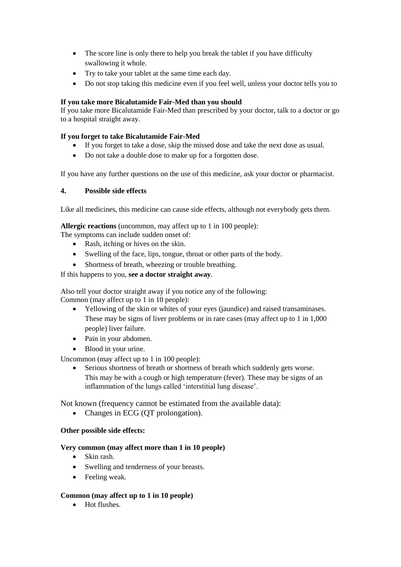- The score line is only there to help you break the tablet if you have difficulty swallowing it whole.
- Try to take your tablet at the same time each day.
- Do not stop taking this medicine even if you feel well, unless your doctor tells you to

## **If you take more Bicalutamide Fair-Med than you should**

If you take more Bicalutamide Fair-Med than prescribed by your doctor, talk to a doctor or go to a hospital straight away.

## **If you forget to take Bicalutamide Fair-Med**

- If you forget to take a dose, skip the missed dose and take the next dose as usual.
- Do not take a double dose to make up for a forgotten dose.

If you have any further questions on the use of this medicine, ask your doctor or pharmacist.

## **4. Possible side effects**

Like all medicines, this medicine can cause side effects, although not everybody gets them.

**Allergic reactions** (uncommon, may affect up to 1 in 100 people):

The symptoms can include sudden onset of:

- Rash, itching or hives on the skin.
- Swelling of the face, lips, tongue, throat or other parts of the body.
- Shortness of breath, wheezing or trouble breathing.

If this happens to you, **see a doctor straight away**.

Also tell your doctor straight away if you notice any of the following: Common (may affect up to 1 in 10 people):

- Yellowing of the skin or whites of your eyes (jaundice) and raised transaminases. These may be signs of liver problems or in rare cases (may affect up to 1 in 1,000 people) liver failure.
- Pain in your abdomen.
- Blood in your urine.

Uncommon (may affect up to 1 in 100 people):

 Serious shortness of breath or shortness of breath which suddenly gets worse. This may be with a cough or high temperature (fever). These may be signs of an inflammation of the lungs called 'interstitial lung disease'.

Not known (frequency cannot be estimated from the available data):

• Changes in ECG (QT prolongation).

## **Other possible side effects:**

## **Very common (may affect more than 1 in 10 people)**

- Skin rash.
- Swelling and tenderness of your breasts.
- Feeling weak.

## **Common (may affect up to 1 in 10 people)**

• Hot flushes.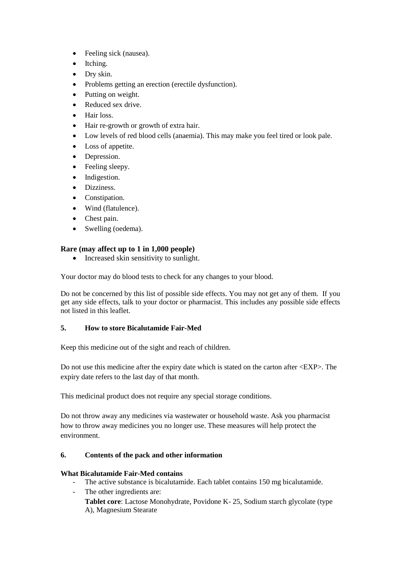- Feeling sick (nausea).
- Itching.
- Dry skin.
- Problems getting an erection (erectile dysfunction).
- Putting on weight.
- Reduced sex drive.
- Hair loss.
- Hair re-growth or growth of extra hair.
- Low levels of red blood cells (anaemia). This may make you feel tired or look pale.
- Loss of appetite.
- Depression.
- Feeling sleepy.
- Indigestion.
- Dizziness.
- Constipation.
- Wind (flatulence).
- Chest pain.
- Swelling (oedema).

## **Rare (may affect up to 1 in 1,000 people)**

• Increased skin sensitivity to sunlight.

Your doctor may do blood tests to check for any changes to your blood.

Do not be concerned by this list of possible side effects. You may not get any of them. If you get any side effects, talk to your doctor or pharmacist. This includes any possible side effects not listed in this leaflet.

## **5. How to store Bicalutamide Fair-Med**

Keep this medicine out of the sight and reach of children.

Do not use this medicine after the expiry date which is stated on the carton after <EXP>. The expiry date refers to the last day of that month.

This medicinal product does not require any special storage conditions.

Do not throw away any medicines via wastewater or household waste. Ask you pharmacist how to throw away medicines you no longer use. These measures will help protect the environment.

## **6. Contents of the pack and other information**

## **What Bicalutamide Fair-Med contains**

The active substance is bicalutamide. Each tablet contains 150 mg bicalutamide.

The other ingredients are: **Tablet core**: Lactose Monohydrate, Povidone K- 25, Sodium starch glycolate (type A), Magnesium Stearate